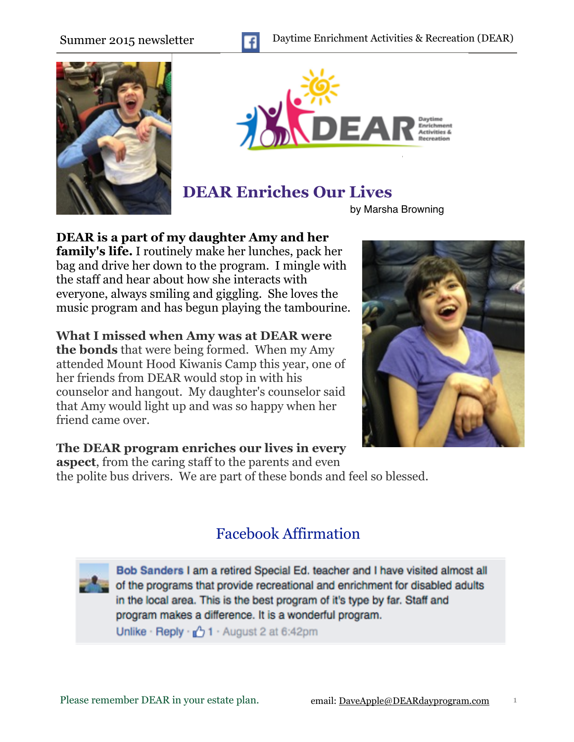





# **DEAR Enriches Our Lives**

by Marsha Browning

**DEAR is a part of my daughter Amy and her** 

**family's life.** I routinely make her lunches, pack her bag and drive her down to the program. I mingle with the staff and hear about how she interacts with everyone, always smiling and giggling. She loves the music program and has begun playing the tambourine.

**What I missed when Amy was at DEAR were the bonds** that were being formed. When my Amy attended Mount Hood Kiwanis Camp this year, one of her friends from DEAR would stop in with his counselor and hangout. My daughter's counselor said that Amy would light up and was so happy when her friend came over.



### **The DEAR program enriches our lives in every**

**aspect**, from the caring staff to the parents and even the polite bus drivers. We are part of these bonds and feel so blessed.

## Facebook Affirmation

Bob Sanders I am a retired Special Ed. teacher and I have visited almost all of the programs that provide recreational and enrichment for disabled adults in the local area. This is the best program of it's type by far. Staff and program makes a difference. It is a wonderful program. Unlike · Reply  $\sqrt{2}$  1 · August 2 at 6:42pm